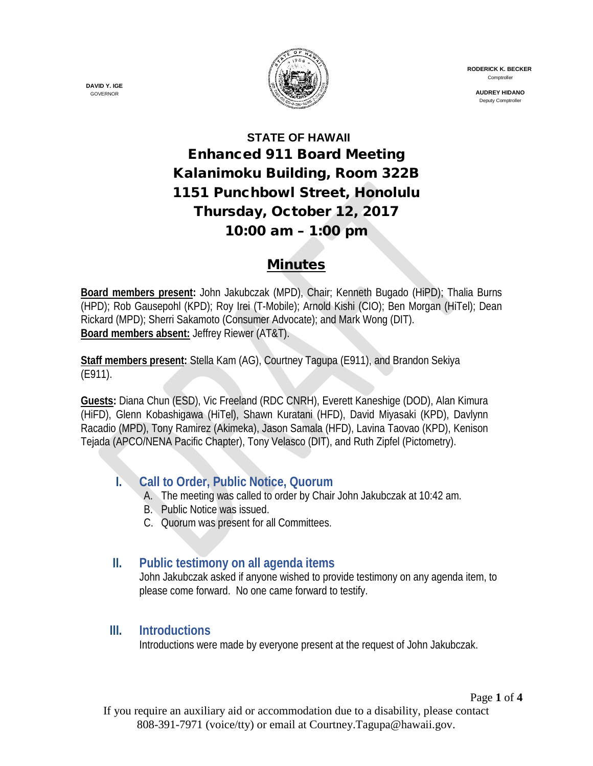

 **RODERICK K. BECKER** Comptroller

> **AUDREY HIDANO** Deputy Comptroller

# **STATE OF HAWAII** Enhanced 911 Board Meeting Kalanimoku Building, Room 322B 1151 Punchbowl Street, Honolulu Thursday, October 12, 2017 10:00 am – 1:00 pm

# Minutes

**Board members present:** John Jakubczak (MPD), Chair; Kenneth Bugado (HiPD); Thalia Burns (HPD); Rob Gausepohl (KPD); Roy Irei (T-Mobile); Arnold Kishi (CIO); Ben Morgan (HiTel); Dean Rickard (MPD); Sherri Sakamoto (Consumer Advocate); and Mark Wong (DIT). **Board members absent:** Jeffrey Riewer (AT&T).

**Staff members present:** Stella Kam (AG), Courtney Tagupa (E911), and Brandon Sekiya (E911).

**Guests:** Diana Chun (ESD), Vic Freeland (RDC CNRH), Everett Kaneshige (DOD), Alan Kimura (HiFD), Glenn Kobashigawa (HiTel), Shawn Kuratani (HFD), David Miyasaki (KPD), Davlynn Racadio (MPD), Tony Ramirez (Akimeka), Jason Samala (HFD), Lavina Taovao (KPD), Kenison Tejada (APCO/NENA Pacific Chapter), Tony Velasco (DIT), and Ruth Zipfel (Pictometry).

# **I. Call to Order, Public Notice, Quorum**

- A. The meeting was called to order by Chair John Jakubczak at 10:42 am.
- B. Public Notice was issued.
- C. Quorum was present for all Committees.

# **II. Public testimony on all agenda items**

John Jakubczak asked if anyone wished to provide testimony on any agenda item, to please come forward. No one came forward to testify.

### **III. Introductions**

Introductions were made by everyone present at the request of John Jakubczak.

**DAVID Y. IGE** GOVERNOR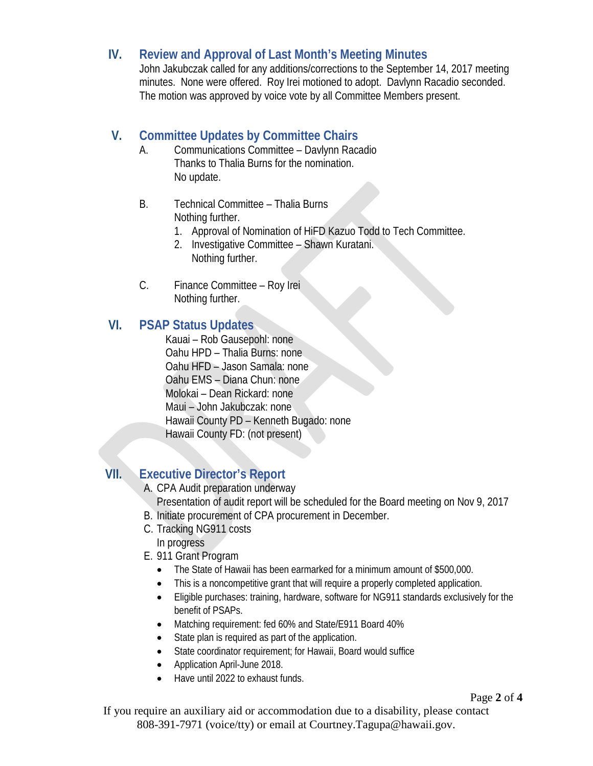#### **IV. Review and Approval of Last Month's Meeting Minutes**

John Jakubczak called for any additions/corrections to the September 14, 2017 meeting minutes. None were offered. Roy Irei motioned to adopt. Davlynn Racadio seconded. The motion was approved by voice vote by all Committee Members present.

### **V. Committee Updates by Committee Chairs**

- A. Communications Committee Davlynn Racadio Thanks to Thalia Burns for the nomination. No update.
- B. Technical Committee Thalia Burns Nothing further.
	- 1. Approval of Nomination of HiFD Kazuo Todd to Tech Committee.
	- 2. Investigative Committee Shawn Kuratani. Nothing further.
- C. Finance Committee Roy Irei Nothing further.

### **VI. PSAP Status Updates**

Kauai – Rob Gausepohl: none Oahu HPD – Thalia Burns: none Oahu HFD – Jason Samala: none Oahu EMS – Diana Chun: none Molokai – Dean Rickard: none Maui – John Jakubczak: none Hawaii County PD – Kenneth Bugado: none Hawaii County FD: (not present)

# **VII. Executive Director's Report**

A. CPA Audit preparation underway

- Presentation of audit report will be scheduled for the Board meeting on Nov 9, 2017
- B. Initiate procurement of CPA procurement in December.
- C. Tracking NG911 costs In progress
- E. 911 Grant Program
	- The State of Hawaii has been earmarked for a minimum amount of \$500,000.
	- This is a noncompetitive grant that will require a properly completed application.
	- Eligible purchases: training, hardware, software for NG911 standards exclusively for the benefit of PSAPs.
	- Matching requirement: fed 60% and State/E911 Board 40%
	- State plan is required as part of the application.
	- State coordinator requirement; for Hawaii, Board would suffice
	- Application April-June 2018.
	- Have until 2022 to exhaust funds.

Page **2** of **4**

If you require an auxiliary aid or accommodation due to a disability, please contact 808-391-7971 (voice/tty) or email at Courtney.Tagupa@hawaii.gov.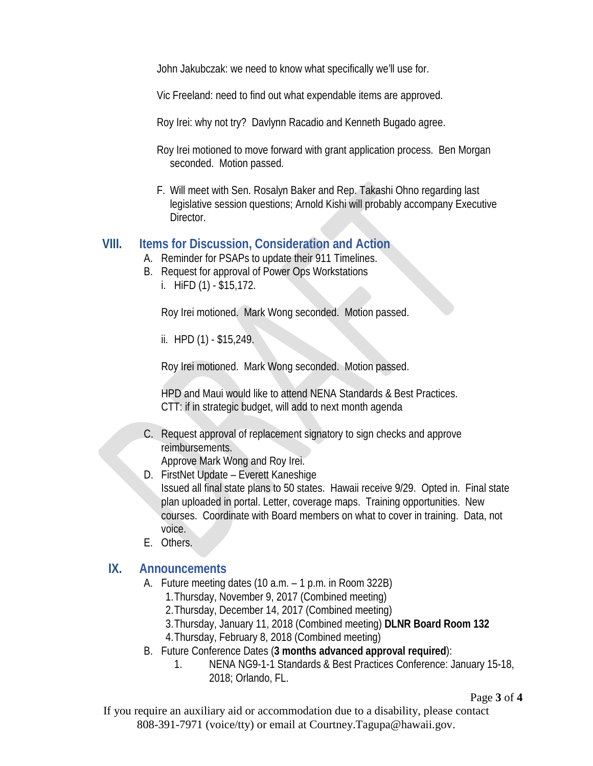John Jakubczak: we need to know what specifically we'll use for.

Vic Freeland: need to find out what expendable items are approved.

Roy Irei: why not try? Davlynn Racadio and Kenneth Bugado agree.

Roy Irei motioned to move forward with grant application process. Ben Morgan seconded. Motion passed.

F. Will meet with Sen. Rosalyn Baker and Rep. Takashi Ohno regarding last legislative session questions; Arnold Kishi will probably accompany Executive **Director** 

#### **VIII. Items for Discussion, Consideration and Action**

- A. Reminder for PSAPs to update their 911 Timelines.
- B. Request for approval of Power Ops Workstations
	- i. HiFD (1) \$15,172.

Roy Irei motioned. Mark Wong seconded. Motion passed.

ii. HPD (1) - \$15,249.

Roy Irei motioned. Mark Wong seconded. Motion passed.

HPD and Maui would like to attend NENA Standards & Best Practices. CTT: if in strategic budget, will add to next month agenda

C. Request approval of replacement signatory to sign checks and approve reimbursements.

Approve Mark Wong and Roy Irei.

D. FirstNet Update – Everett Kaneshige

Issued all final state plans to 50 states. Hawaii receive 9/29. Opted in. Final state plan uploaded in portal. Letter, coverage maps. Training opportunities. New courses. Coordinate with Board members on what to cover in training. Data, not voice.

E. Others.

#### **IX. Announcements**

- A. Future meeting dates (10 a.m. 1 p.m. in Room 322B)
	- 1.Thursday, November 9, 2017 (Combined meeting)
	- 2.Thursday, December 14, 2017 (Combined meeting)
	- 3.Thursday, January 11, 2018 (Combined meeting) **DLNR Board Room 132**
	- 4.Thursday, February 8, 2018 (Combined meeting)
- B. Future Conference Dates (**3 months advanced approval required**):
	- 1. NENA NG9-1-1 Standards & Best Practices Conference: January 15-18, 2018; Orlando, FL.

Page **3** of **4**

If you require an auxiliary aid or accommodation due to a disability, please contact 808-391-7971 (voice/tty) or email at Courtney.Tagupa@hawaii.gov.